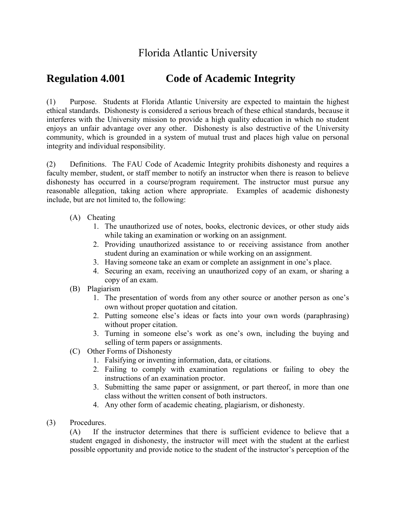## Florida Atlantic University

## **Regulation 4.001 Code of Academic Integrity**

(1) Purpose. Students at Florida Atlantic University are expected to maintain the highest ethical standards. Dishonesty is considered a serious breach of these ethical standards, because it interferes with the University mission to provide a high quality education in which no student enjoys an unfair advantage over any other. Dishonesty is also destructive of the University community, which is grounded in a system of mutual trust and places high value on personal integrity and individual responsibility.

(2) Definitions. The FAU Code of Academic Integrity prohibits dishonesty and requires a faculty member, student, or staff member to notify an instructor when there is reason to believe dishonesty has occurred in a course/program requirement. The instructor must pursue any reasonable allegation, taking action where appropriate. Examples of academic dishonesty include, but are not limited to, the following:

## (A) Cheating

- 1. The unauthorized use of notes, books, electronic devices, or other study aids while taking an examination or working on an assignment.
- 2. Providing unauthorized assistance to or receiving assistance from another student during an examination or while working on an assignment.
- 3. Having someone take an exam or complete an assignment in one's place.
- 4. Securing an exam, receiving an unauthorized copy of an exam, or sharing a copy of an exam.
- (B) Plagiarism
	- 1. The presentation of words from any other source or another person as one's own without proper quotation and citation.
	- 2. Putting someone else's ideas or facts into your own words (paraphrasing) without proper citation.
	- 3. Turning in someone else's work as one's own, including the buying and selling of term papers or assignments.
- (C) Other Forms of Dishonesty
	- 1. Falsifying or inventing information, data, or citations.
	- 2. Failing to comply with examination regulations or failing to obey the instructions of an examination proctor.
	- 3. Submitting the same paper or assignment, or part thereof, in more than one class without the written consent of both instructors.
	- 4. Any other form of academic cheating, plagiarism, or dishonesty.
- (3) Procedures.

(A) If the instructor determines that there is sufficient evidence to believe that a student engaged in dishonesty, the instructor will meet with the student at the earliest possible opportunity and provide notice to the student of the instructor's perception of the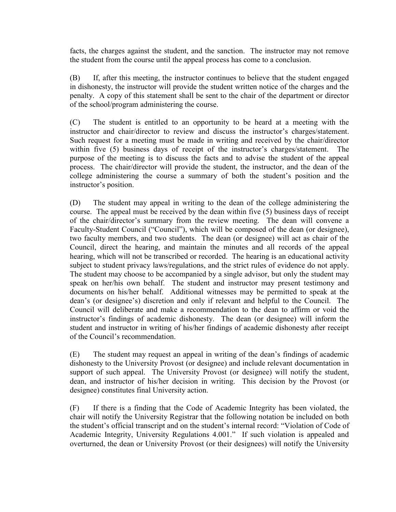facts, the charges against the student, and the sanction. The instructor may not remove the student from the course until the appeal process has come to a conclusion.

(B) If, after this meeting, the instructor continues to believe that the student engaged in dishonesty, the instructor will provide the student written notice of the charges and the penalty. A copy of this statement shall be sent to the chair of the department or director of the school/program administering the course.

(C) The student is entitled to an opportunity to be heard at a meeting with the instructor and chair/director to review and discuss the instructor's charges/statement. Such request for a meeting must be made in writing and received by the chair/director within five (5) business days of receipt of the instructor's charges/statement. The purpose of the meeting is to discuss the facts and to advise the student of the appeal process. The chair/director will provide the student, the instructor, and the dean of the college administering the course a summary of both the student's position and the instructor's position.

(D) The student may appeal in writing to the dean of the college administering the course. The appeal must be received by the dean within five (5) business days of receipt of the chair/director's summary from the review meeting. The dean will convene a Faculty-Student Council ("Council"), which will be composed of the dean (or designee), two faculty members, and two students. The dean (or designee) will act as chair of the Council, direct the hearing, and maintain the minutes and all records of the appeal hearing, which will not be transcribed or recorded. The hearing is an educational activity subject to student privacy laws/regulations, and the strict rules of evidence do not apply. The student may choose to be accompanied by a single advisor, but only the student may speak on her/his own behalf. The student and instructor may present testimony and documents on his/her behalf. Additional witnesses may be permitted to speak at the dean's (or designee's) discretion and only if relevant and helpful to the Council. The Council will deliberate and make a recommendation to the dean to affirm or void the instructor's findings of academic dishonesty. The dean (or designee) will inform the student and instructor in writing of his/her findings of academic dishonesty after receipt of the Council's recommendation.

(E) The student may request an appeal in writing of the dean's findings of academic dishonesty to the University Provost (or designee) and include relevant documentation in support of such appeal. The University Provost (or designee) will notify the student, dean, and instructor of his/her decision in writing. This decision by the Provost (or designee) constitutes final University action.

(F) If there is a finding that the Code of Academic Integrity has been violated, the chair will notify the University Registrar that the following notation be included on both the student's official transcript and on the student's internal record: "Violation of Code of Academic Integrity, University Regulations 4.001." If such violation is appealed and overturned, the dean or University Provost (or their designees) will notify the University